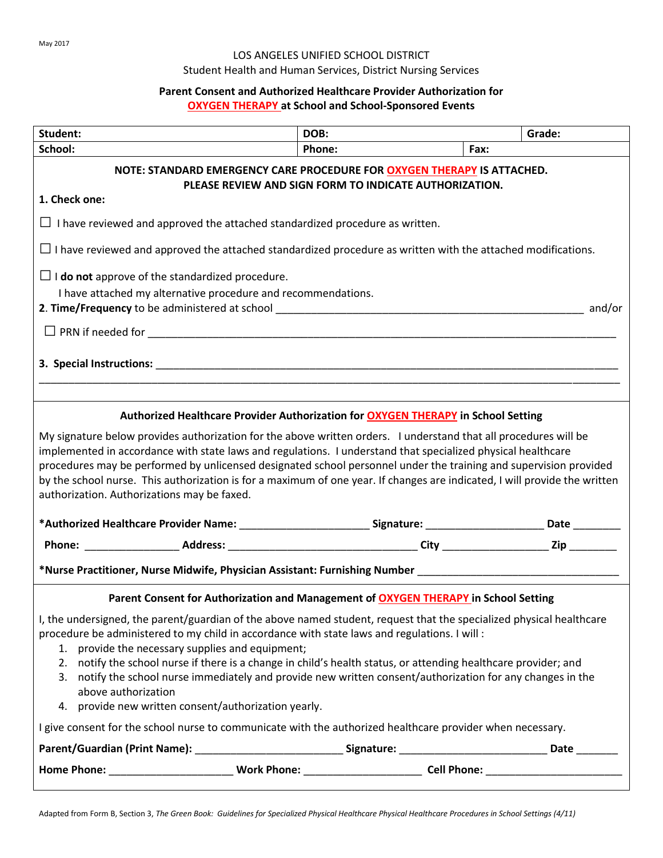### LOS ANGELES UNIFIED SCHOOL DISTRICT

# Student Health and Human Services, District Nursing Services

## **Parent Consent and Authorized Healthcare Provider Authorization for OXYGEN THERAPY at School and School-Sponsored Events**

| Student:                                                                                                                                                                                                                                                                                                                                                                                                                                                                                                                                                                                   | DOB:   |          | Grade: |  |
|--------------------------------------------------------------------------------------------------------------------------------------------------------------------------------------------------------------------------------------------------------------------------------------------------------------------------------------------------------------------------------------------------------------------------------------------------------------------------------------------------------------------------------------------------------------------------------------------|--------|----------|--------|--|
| School:                                                                                                                                                                                                                                                                                                                                                                                                                                                                                                                                                                                    | Phone: | $ $ Fax: |        |  |
| NOTE: STANDARD EMERGENCY CARE PROCEDURE FOR OXYGEN THERAPY IS ATTACHED.<br>PLEASE REVIEW AND SIGN FORM TO INDICATE AUTHORIZATION.                                                                                                                                                                                                                                                                                                                                                                                                                                                          |        |          |        |  |
| 1. Check one:                                                                                                                                                                                                                                                                                                                                                                                                                                                                                                                                                                              |        |          |        |  |
| $\Box$ I have reviewed and approved the attached standardized procedure as written.                                                                                                                                                                                                                                                                                                                                                                                                                                                                                                        |        |          |        |  |
| $\Box$ I have reviewed and approved the attached standardized procedure as written with the attached modifications.                                                                                                                                                                                                                                                                                                                                                                                                                                                                        |        |          |        |  |
| $\Box$ <b>I do not</b> approve of the standardized procedure.                                                                                                                                                                                                                                                                                                                                                                                                                                                                                                                              |        |          |        |  |
| I have attached my alternative procedure and recommendations.                                                                                                                                                                                                                                                                                                                                                                                                                                                                                                                              |        |          |        |  |
|                                                                                                                                                                                                                                                                                                                                                                                                                                                                                                                                                                                            |        |          |        |  |
|                                                                                                                                                                                                                                                                                                                                                                                                                                                                                                                                                                                            |        |          |        |  |
| Authorized Healthcare Provider Authorization for <b>OXYGEN THERAPY</b> in School Setting                                                                                                                                                                                                                                                                                                                                                                                                                                                                                                   |        |          |        |  |
| implemented in accordance with state laws and regulations. I understand that specialized physical healthcare<br>procedures may be performed by unlicensed designated school personnel under the training and supervision provided<br>by the school nurse. This authorization is for a maximum of one year. If changes are indicated, I will provide the written<br>authorization. Authorizations may be faxed.<br>*Authorized Healthcare Provider Name: ___________________________Signature: __________________________Date __________                                                    |        |          |        |  |
|                                                                                                                                                                                                                                                                                                                                                                                                                                                                                                                                                                                            |        |          |        |  |
|                                                                                                                                                                                                                                                                                                                                                                                                                                                                                                                                                                                            |        |          |        |  |
| *Nurse Practitioner, Nurse Midwife, Physician Assistant: Furnishing Number ___________________________________                                                                                                                                                                                                                                                                                                                                                                                                                                                                             |        |          |        |  |
| Parent Consent for Authorization and Management of OXYGEN THERAPY in School Setting                                                                                                                                                                                                                                                                                                                                                                                                                                                                                                        |        |          |        |  |
| I, the undersigned, the parent/guardian of the above named student, request that the specialized physical healthcare<br>procedure be administered to my child in accordance with state laws and regulations. I will :<br>1. provide the necessary supplies and equipment;<br>2. notify the school nurse if there is a change in child's health status, or attending healthcare provider; and<br>3. notify the school nurse immediately and provide new written consent/authorization for any changes in the<br>above authorization<br>4. provide new written consent/authorization yearly. |        |          |        |  |
| I give consent for the school nurse to communicate with the authorized healthcare provider when necessary.                                                                                                                                                                                                                                                                                                                                                                                                                                                                                 |        |          |        |  |
|                                                                                                                                                                                                                                                                                                                                                                                                                                                                                                                                                                                            |        |          |        |  |
|                                                                                                                                                                                                                                                                                                                                                                                                                                                                                                                                                                                            |        |          |        |  |